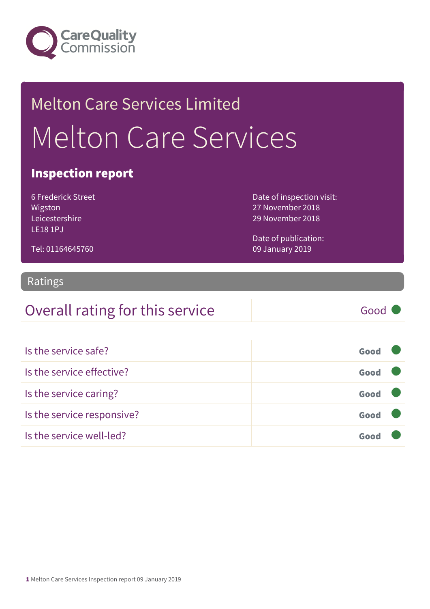

# Melton Care Services Limited Melton Care Services

#### Inspection report

6 Frederick Street Wigston Leicestershire LE18 1PJ

Tel: 01164645760

Date of inspection visit: 27 November 2018 29 November 2018

Date of publication: 09 January 2019

#### Ratings

#### Overall rating for this service Good

| Is the service safe?       | Good |
|----------------------------|------|
| Is the service effective?  | Good |
| Is the service caring?     | Good |
| Is the service responsive? | Good |
| Is the service well-led?   | Goo  |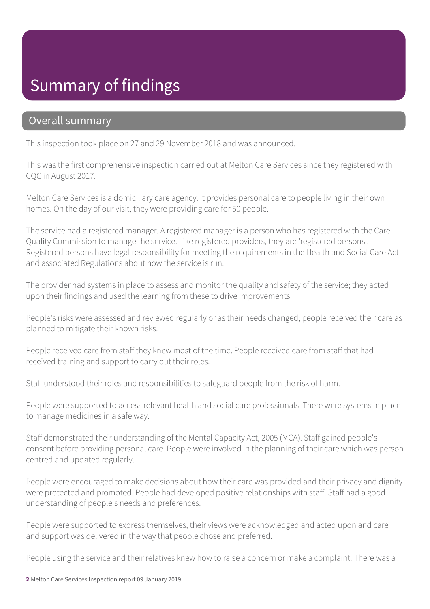#### Summary of findings

#### Overall summary

This inspection took place on 27 and 29 November 2018 and was announced.

This was the first comprehensive inspection carried out at Melton Care Services since they registered with CQC in August 2017.

Melton Care Services is a domiciliary care agency. It provides personal care to people living in their own homes. On the day of our visit, they were providing care for 50 people.

The service had a registered manager. A registered manager is a person who has registered with the Care Quality Commission to manage the service. Like registered providers, they are 'registered persons'. Registered persons have legal responsibility for meeting the requirements in the Health and Social Care Act and associated Regulations about how the service is run.

The provider had systems in place to assess and monitor the quality and safety of the service; they acted upon their findings and used the learning from these to drive improvements.

People's risks were assessed and reviewed regularly or as their needs changed; people received their care as planned to mitigate their known risks.

People received care from staff they knew most of the time. People received care from staff that had received training and support to carry out their roles.

Staff understood their roles and responsibilities to safeguard people from the risk of harm.

People were supported to access relevant health and social care professionals. There were systems in place to manage medicines in a safe way.

Staff demonstrated their understanding of the Mental Capacity Act, 2005 (MCA). Staff gained people's consent before providing personal care. People were involved in the planning of their care which was person centred and updated regularly.

People were encouraged to make decisions about how their care was provided and their privacy and dignity were protected and promoted. People had developed positive relationships with staff. Staff had a good understanding of people's needs and preferences.

People were supported to express themselves, their views were acknowledged and acted upon and care and support was delivered in the way that people chose and preferred.

People using the service and their relatives knew how to raise a concern or make a complaint. There was a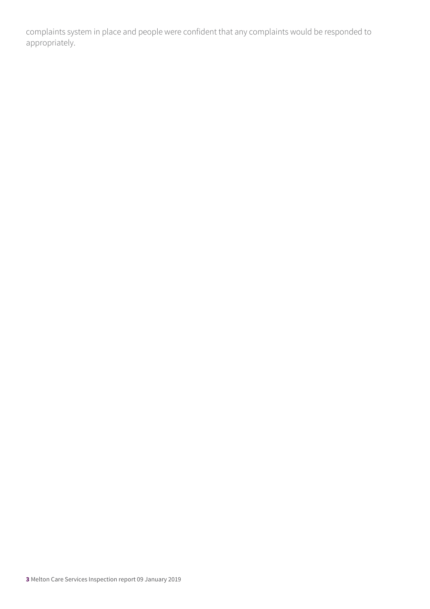complaints system in place and people were confident that any complaints would be responded to appropriately.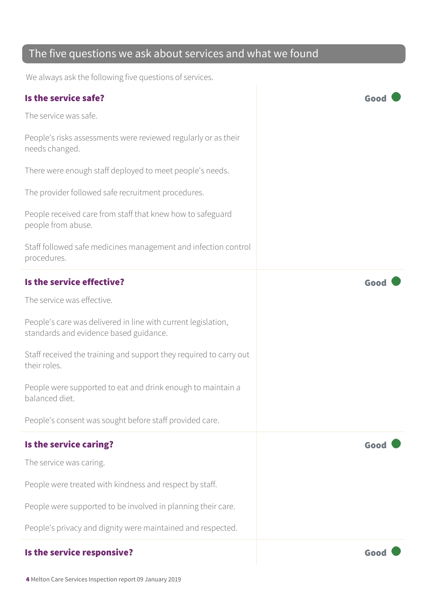#### The five questions we ask about services and what we found

We always ask the following five questions of services.

| Is the service safe?                                                                                    | Goo  |
|---------------------------------------------------------------------------------------------------------|------|
| The service was safe.                                                                                   |      |
| People's risks assessments were reviewed regularly or as their<br>needs changed.                        |      |
| There were enough staff deployed to meet people's needs.                                                |      |
| The provider followed safe recruitment procedures.                                                      |      |
| People received care from staff that knew how to safeguard<br>people from abuse.                        |      |
| Staff followed safe medicines management and infection control<br>procedures.                           |      |
| Is the service effective?                                                                               | Good |
| The service was effective.                                                                              |      |
| People's care was delivered in line with current legislation,<br>standards and evidence based guidance. |      |
| Staff received the training and support they required to carry out<br>their roles.                      |      |
| People were supported to eat and drink enough to maintain a<br>balanced diet.                           |      |
| People's consent was sought before staff provided care.                                                 |      |
| Is the service caring?                                                                                  | Good |
| The service was caring.                                                                                 |      |
| People were treated with kindness and respect by staff.                                                 |      |
| People were supported to be involved in planning their care.                                            |      |
| People's privacy and dignity were maintained and respected.                                             |      |
| Is the service responsive?                                                                              | Good |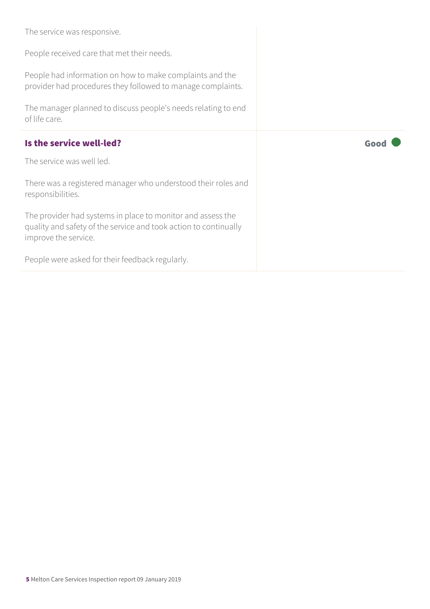| The service was responsive.<br>People received care that met their needs.<br>People had information on how to make complaints and the<br>provider had procedures they followed to manage complaints. |      |
|------------------------------------------------------------------------------------------------------------------------------------------------------------------------------------------------------|------|
| The manager planned to discuss people's needs relating to end<br>of life care.                                                                                                                       |      |
| Is the service well-led?                                                                                                                                                                             | Good |
| The service was well led.                                                                                                                                                                            |      |
|                                                                                                                                                                                                      |      |
| There was a registered manager who understood their roles and<br>responsibilities.                                                                                                                   |      |
| The provider had systems in place to monitor and assess the<br>quality and safety of the service and took action to continually<br>improve the service.                                              |      |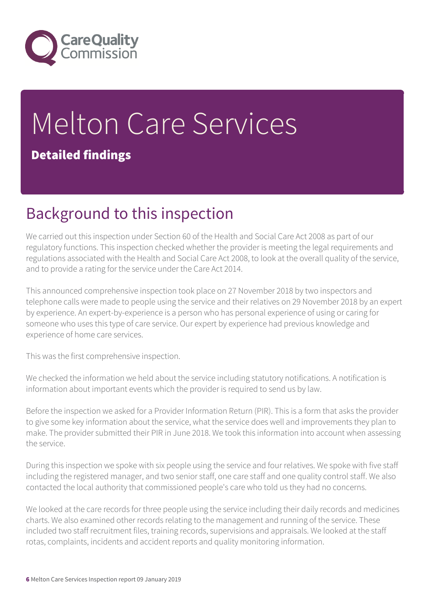

# Melton Care Services Detailed findings

## Background to this inspection

We carried out this inspection under Section 60 of the Health and Social Care Act 2008 as part of our regulatory functions. This inspection checked whether the provider is meeting the legal requirements and regulations associated with the Health and Social Care Act 2008, to look at the overall quality of the service, and to provide a rating for the service under the Care Act 2014.

This announced comprehensive inspection took place on 27 November 2018 by two inspectors and telephone calls were made to people using the service and their relatives on 29 November 2018 by an expert by experience. An expert-by-experience is a person who has personal experience of using or caring for someone who uses this type of care service. Our expert by experience had previous knowledge and experience of home care services.

This was the first comprehensive inspection.

We checked the information we held about the service including statutory notifications. A notification is information about important events which the provider is required to send us by law.

Before the inspection we asked for a Provider Information Return (PIR). This is a form that asks the provider to give some key information about the service, what the service does well and improvements they plan to make. The provider submitted their PIR in June 2018. We took this information into account when assessing the service.

During this inspection we spoke with six people using the service and four relatives. We spoke with five staff including the registered manager, and two senior staff, one care staff and one quality control staff. We also contacted the local authority that commissioned people's care who told us they had no concerns.

We looked at the care records for three people using the service including their daily records and medicines charts. We also examined other records relating to the management and running of the service. These included two staff recruitment files, training records, supervisions and appraisals. We looked at the staff rotas, complaints, incidents and accident reports and quality monitoring information.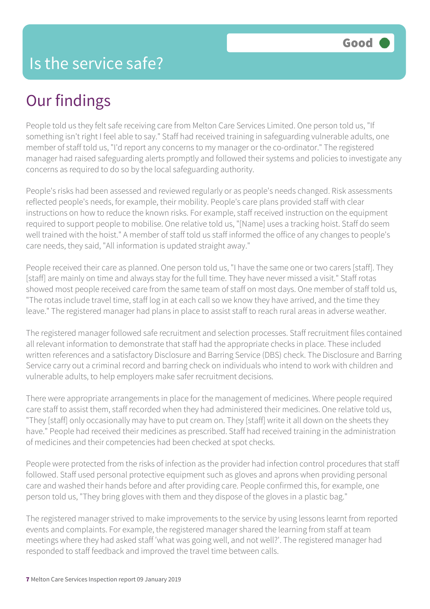## Our findings

People told us they felt safe receiving care from Melton Care Services Limited. One person told us, "If something isn't right I feel able to say." Staff had received training in safeguarding vulnerable adults, one member of staff told us, "I'd report any concerns to my manager or the co-ordinator." The registered manager had raised safeguarding alerts promptly and followed their systems and policies to investigate any concerns as required to do so by the local safeguarding authority.

People's risks had been assessed and reviewed regularly or as people's needs changed. Risk assessments reflected people's needs, for example, their mobility. People's care plans provided staff with clear instructions on how to reduce the known risks. For example, staff received instruction on the equipment required to support people to mobilise. One relative told us, "[Name] uses a tracking hoist. Staff do seem well trained with the hoist." A member of staff told us staff informed the office of any changes to people's care needs, they said, "All information is updated straight away."

People received their care as planned. One person told us, "I have the same one or two carers [staff]. They [staff] are mainly on time and always stay for the full time. They have never missed a visit." Staff rotas showed most people received care from the same team of staff on most days. One member of staff told us, "The rotas include travel time, staff log in at each call so we know they have arrived, and the time they leave." The registered manager had plans in place to assist staff to reach rural areas in adverse weather.

The registered manager followed safe recruitment and selection processes. Staff recruitment files contained all relevant information to demonstrate that staff had the appropriate checks in place. These included written references and a satisfactory Disclosure and Barring Service (DBS) check. The Disclosure and Barring Service carry out a criminal record and barring check on individuals who intend to work with children and vulnerable adults, to help employers make safer recruitment decisions.

There were appropriate arrangements in place for the management of medicines. Where people required care staff to assist them, staff recorded when they had administered their medicines. One relative told us, "They [staff] only occasionally may have to put cream on. They [staff] write it all down on the sheets they have." People had received their medicines as prescribed. Staff had received training in the administration of medicines and their competencies had been checked at spot checks.

People were protected from the risks of infection as the provider had infection control procedures that staff followed. Staff used personal protective equipment such as gloves and aprons when providing personal care and washed their hands before and after providing care. People confirmed this, for example, one person told us, "They bring gloves with them and they dispose of the gloves in a plastic bag."

The registered manager strived to make improvements to the service by using lessons learnt from reported events and complaints. For example, the registered manager shared the learning from staff at team meetings where they had asked staff 'what was going well, and not well?'. The registered manager had responded to staff feedback and improved the travel time between calls.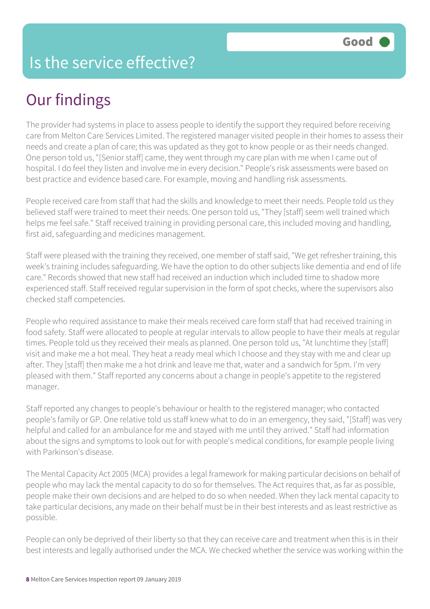#### Is the service effective?

## Our findings

The provider had systems in place to assess people to identify the support they required before receiving care from Melton Care Services Limited. The registered manager visited people in their homes to assess their needs and create a plan of care; this was updated as they got to know people or as their needs changed. One person told us, "[Senior staff] came, they went through my care plan with me when I came out of hospital. I do feel they listen and involve me in every decision." People's risk assessments were based on best practice and evidence based care. For example, moving and handling risk assessments.

People received care from staff that had the skills and knowledge to meet their needs. People told us they believed staff were trained to meet their needs. One person told us, "They [staff] seem well trained which helps me feel safe." Staff received training in providing personal care, this included moving and handling, first aid, safeguarding and medicines management.

Staff were pleased with the training they received, one member of staff said, "We get refresher training, this week's training includes safeguarding. We have the option to do other subjects like dementia and end of life care." Records showed that new staff had received an induction which included time to shadow more experienced staff. Staff received regular supervision in the form of spot checks, where the supervisors also checked staff competencies.

People who required assistance to make their meals received care form staff that had received training in food safety. Staff were allocated to people at regular intervals to allow people to have their meals at regular times. People told us they received their meals as planned. One person told us, "At lunchtime they [staff] visit and make me a hot meal. They heat a ready meal which I choose and they stay with me and clear up after. They [staff] then make me a hot drink and leave me that, water and a sandwich for 5pm. I'm very pleased with them." Staff reported any concerns about a change in people's appetite to the registered manager.

Staff reported any changes to people's behaviour or health to the registered manager; who contacted people's family or GP. One relative told us staff knew what to do in an emergency, they said, "[Staff] was very helpful and called for an ambulance for me and stayed with me until they arrived." Staff had information about the signs and symptoms to look out for with people's medical conditions, for example people living with Parkinson's disease.

The Mental Capacity Act 2005 (MCA) provides a legal framework for making particular decisions on behalf of people who may lack the mental capacity to do so for themselves. The Act requires that, as far as possible, people make their own decisions and are helped to do so when needed. When they lack mental capacity to take particular decisions, any made on their behalf must be in their best interests and as least restrictive as possible.

People can only be deprived of their liberty so that they can receive care and treatment when this is in their best interests and legally authorised under the MCA. We checked whether the service was working within the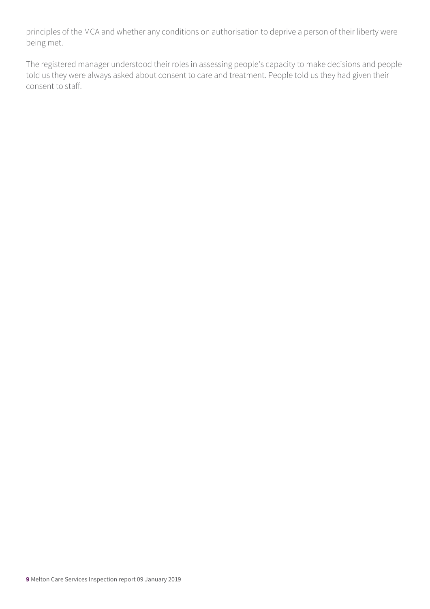principles of the MCA and whether any conditions on authorisation to deprive a person of their liberty were being met.

The registered manager understood their roles in assessing people's capacity to make decisions and people told us they were always asked about consent to care and treatment. People told us they had given their consent to staff.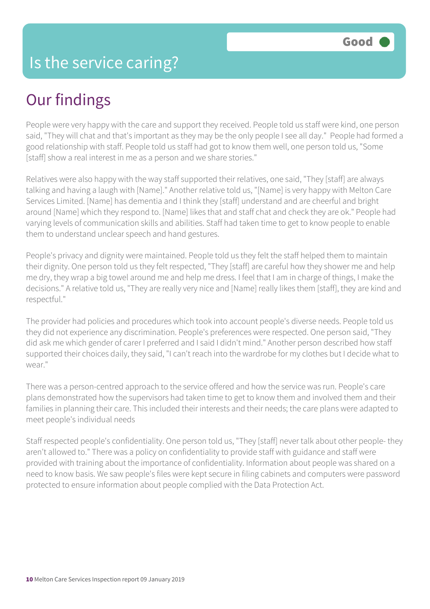## Our findings

People were very happy with the care and support they received. People told us staff were kind, one person said, "They will chat and that's important as they may be the only people I see all day." People had formed a good relationship with staff. People told us staff had got to know them well, one person told us, "Some [staff] show a real interest in me as a person and we share stories."

Relatives were also happy with the way staff supported their relatives, one said, "They [staff] are always talking and having a laugh with [Name]." Another relative told us, "[Name] is very happy with Melton Care Services Limited. [Name] has dementia and I think they [staff] understand and are cheerful and bright around [Name] which they respond to. [Name] likes that and staff chat and check they are ok." People had varying levels of communication skills and abilities. Staff had taken time to get to know people to enable them to understand unclear speech and hand gestures.

People's privacy and dignity were maintained. People told us they felt the staff helped them to maintain their dignity. One person told us they felt respected, "They [staff] are careful how they shower me and help me dry, they wrap a big towel around me and help me dress. I feel that I am in charge of things, I make the decisions." A relative told us, "They are really very nice and [Name] really likes them [staff], they are kind and respectful."

The provider had policies and procedures which took into account people's diverse needs. People told us they did not experience any discrimination. People's preferences were respected. One person said, "They did ask me which gender of carer I preferred and I said I didn't mind." Another person described how staff supported their choices daily, they said, "I can't reach into the wardrobe for my clothes but I decide what to wear."

There was a person-centred approach to the service offered and how the service was run. People's care plans demonstrated how the supervisors had taken time to get to know them and involved them and their families in planning their care. This included their interests and their needs; the care plans were adapted to meet people's individual needs

Staff respected people's confidentiality. One person told us, "They [staff] never talk about other people- they aren't allowed to." There was a policy on confidentiality to provide staff with guidance and staff were provided with training about the importance of confidentiality. Information about people was shared on a need to know basis. We saw people's files were kept secure in filing cabinets and computers were password protected to ensure information about people complied with the Data Protection Act.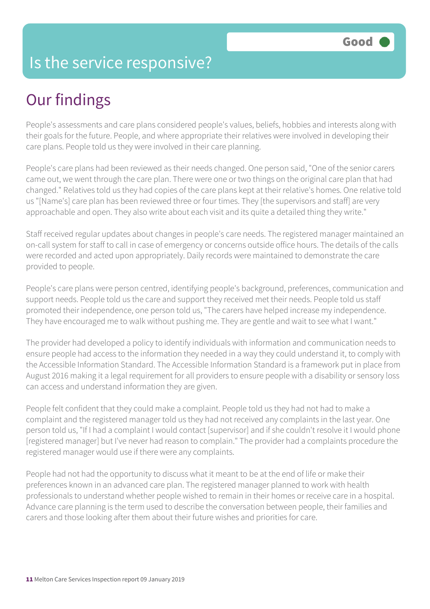#### Is the service responsive?

## Our findings

People's assessments and care plans considered people's values, beliefs, hobbies and interests along with their goals for the future. People, and where appropriate their relatives were involved in developing their care plans. People told us they were involved in their care planning.

People's care plans had been reviewed as their needs changed. One person said, "One of the senior carers came out, we went through the care plan. There were one or two things on the original care plan that had changed." Relatives told us they had copies of the care plans kept at their relative's homes. One relative told us "[Name's] care plan has been reviewed three or four times. They [the supervisors and staff] are very approachable and open. They also write about each visit and its quite a detailed thing they write."

Staff received regular updates about changes in people's care needs. The registered manager maintained an on-call system for staff to call in case of emergency or concerns outside office hours. The details of the calls were recorded and acted upon appropriately. Daily records were maintained to demonstrate the care provided to people.

People's care plans were person centred, identifying people's background, preferences, communication and support needs. People told us the care and support they received met their needs. People told us staff promoted their independence, one person told us, "The carers have helped increase my independence. They have encouraged me to walk without pushing me. They are gentle and wait to see what I want."

The provider had developed a policy to identify individuals with information and communication needs to ensure people had access to the information they needed in a way they could understand it, to comply with the Accessible Information Standard. The Accessible Information Standard is a framework put in place from August 2016 making it a legal requirement for all providers to ensure people with a disability or sensory loss can access and understand information they are given.

People felt confident that they could make a complaint. People told us they had not had to make a complaint and the registered manager told us they had not received any complaints in the last year. One person told us, "If I had a complaint I would contact [supervisor] and if she couldn't resolve it I would phone [registered manager] but I've never had reason to complain." The provider had a complaints procedure the registered manager would use if there were any complaints.

People had not had the opportunity to discuss what it meant to be at the end of life or make their preferences known in an advanced care plan. The registered manager planned to work with health professionals to understand whether people wished to remain in their homes or receive care in a hospital. Advance care planning is the term used to describe the conversation between people, their families and carers and those looking after them about their future wishes and priorities for care.